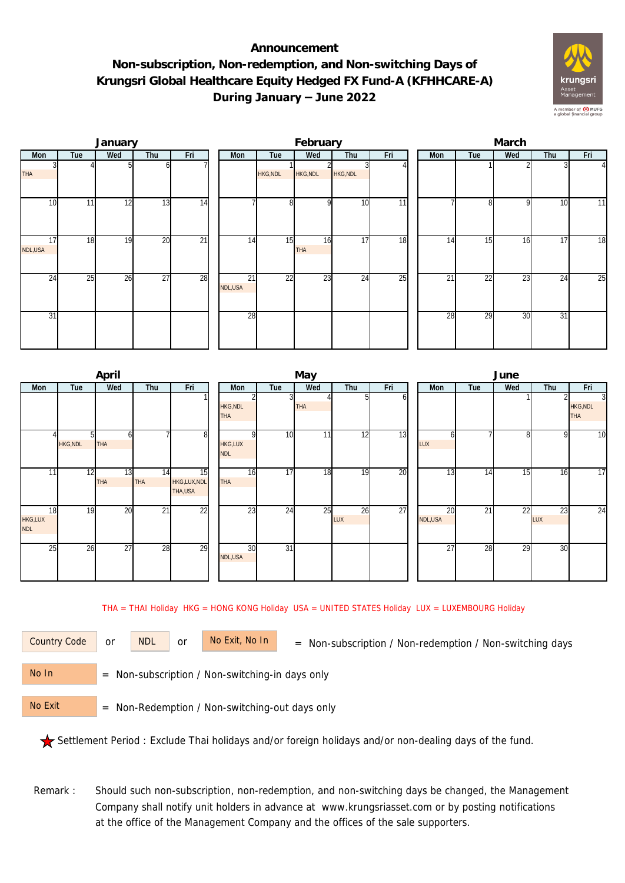## **Announcement Non-subscription, Non-redemption, and Non-switching Days of Krungsri Global Healthcare Equity Hedged FX Fund-A (KFHHCARE-A) During January – June 2022**



|                 |                 | January |                 |     |               |          | February         |                 |     | March |                 |     |     |               |  |  |
|-----------------|-----------------|---------|-----------------|-----|---------------|----------|------------------|-----------------|-----|-------|-----------------|-----|-----|---------------|--|--|
| Mon             | Tue             | Wed     | Thu             | Fri | Mon           | Tue      | Wed              | Thu             | Fri | Mon   | Tue             | Wed | Thu | Fri           |  |  |
| <b>THA</b>      |                 |         |                 |     |               | HKG, NDL | HKG, NDL         | <b>HKG, NDL</b> |     |       |                 |     |     | $\frac{4}{ }$ |  |  |
| 10 <sup>1</sup> | 11 <sub>1</sub> | 12      | 13              | 14  |               | 8        | ŋ                | 10              | 11  |       |                 | q   | 10  | 11            |  |  |
| 17<br>NDL,USA   | 18              | 19      | 20              | 21  | 14            | 15       | 16<br><b>THA</b> | 17              | 18  | 14    | 15              | 16  | 17  | 18            |  |  |
| 24              | 25              | 26      | $\overline{27}$ | 28  | 21<br>NDL,USA | 22       | $\overline{23}$  | 24              | 25  | 21    | $\overline{22}$ | 23  | 24  | 25            |  |  |
| 31              |                 |         |                 |     | 28            |          |                  |                 |     | 28    | 29              | 30  | 31  |               |  |  |

|                                    |                | April            |                  |                              |                               |                 | May        |                  |     | June            |                 |                 |           |                               |  |  |
|------------------------------------|----------------|------------------|------------------|------------------------------|-------------------------------|-----------------|------------|------------------|-----|-----------------|-----------------|-----------------|-----------|-------------------------------|--|--|
| Mon                                | Tue            | Wed              | Thu              | Fri                          | Mon                           | Tue             | Wed        | Thu              | Fri | Mon             | Tue             | Wed             | Thu       | Fri                           |  |  |
|                                    |                |                  |                  |                              | <b>HKG, NDL</b><br><b>THA</b> |                 | <b>THA</b> |                  | ω   |                 |                 |                 |           | <b>HKG, NDL</b><br><b>THA</b> |  |  |
|                                    | <b>HKG,NDL</b> | n<br><b>THA</b>  |                  | 81                           | <b>HKG,LUX</b><br><b>NDL</b>  | 10              | 11         | 12               | 13  | LUX             |                 |                 | 9         | 10                            |  |  |
| 11                                 | 12             | 13<br><b>THA</b> | 14<br><b>THA</b> | 15<br>HKG,LUX,NDL<br>THA,USA | 16<br><b>THA</b>              | 17              | 18         | 19               | 20  | $1\overline{3}$ | 14              | $1\overline{5}$ | 16        | 17                            |  |  |
| 18<br><b>HKG,LUX</b><br><b>NDL</b> | 19             | 20               | 21               | 22                           | 23                            | $\overline{24}$ | 25         | 26<br><b>LUX</b> | 27  | 20<br>NDL,USA   | $\overline{21}$ | 22              | 23<br>LUX | 24                            |  |  |
| 25                                 | 26             | 27               | 28               | 29                           | 30<br>NDL,USA                 | 31              |            |                  |     | 27              | 28              | $\overline{29}$ | 30        |                               |  |  |

THA = THAI Holiday HKG = HONG KONG Holiday USA = UNITED STATES Holiday LUX = LUXEMBOURG Holiday

or NDL or

Country Code or NDL or No Exit, No In = Non-subscription / Non-redemption / Non-switching days

 = Non-subscription / Non-switching-in days only No In

 = Non-Redemption / Non-switching-out days only No Exit

Settlement Period : Exclude Thai holidays and/or foreign holidays and/or non-dealing days of the fund.

 Remark : Should such non-subscription, non-redemption, and non-switching days be changed, the Management Company shall notify unit holders in advance at www.krungsriasset.com or by posting notifications at the office of the Management Company and the offices of the sale supporters.